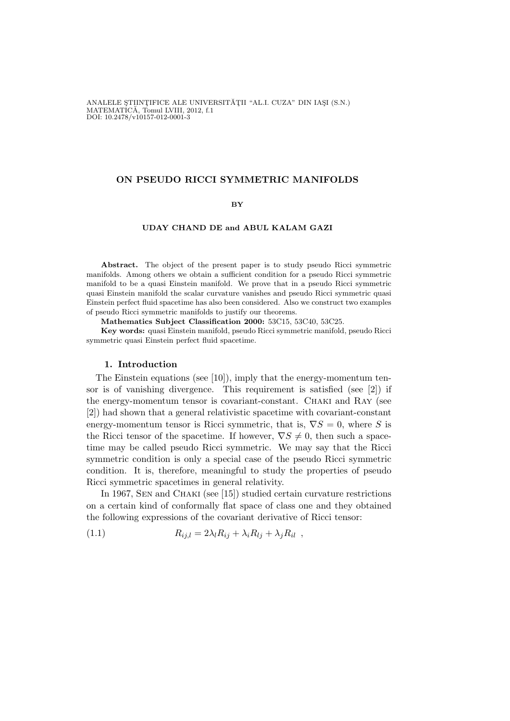ANALELE STIINTIFICE ALE UNIVERSITĂȚII "AL.I. CUZA" DIN IASI (S.N.) MATEMATÍCĂ, Tomul LVIII, 2012, f.1<br>DOI: 10.2478/v10157-012-0001-3

## ON PSEUDO RICCI SYMMETRIC MANIFOLDS

### BY

#### UDAY CHAND DE and ABUL KALAM GAZI

Abstract. The object of the present paper is to study pseudo Ricci symmetric manifolds. Among others we obtain a sufficient condition for a pseudo Ricci symmetric manifold to be a quasi Einstein manifold. We prove that in a pseudo Ricci symmetric quasi Einstein manifold the scalar curvature vanishes and pseudo Ricci symmetric quasi Einstein perfect fluid spacetime has also been considered. Also we construct two examples of pseudo Ricci symmetric manifolds to justify our theorems.

Mathematics Subject Classification 2000: 53C15, 53C40, 53C25.

Key words: quasi Einstein manifold, pseudo Ricci symmetric manifold, pseudo Ricci symmetric quasi Einstein perfect fluid spacetime.

## 1. Introduction

The Einstein equations (see [10]), imply that the energy-momentum tensor is of vanishing divergence. This requirement is satisfied (see [2]) if the energy-momentum tensor is covariant-constant. Chaki and Ray (see [2]) had shown that a general relativistic spacetime with covariant-constant energy-momentum tensor is Ricci symmetric, that is,  $\nabla S = 0$ , where S is the Ricci tensor of the spacetime. If however,  $\nabla S \neq 0$ , then such a spacetime may be called pseudo Ricci symmetric. We may say that the Ricci symmetric condition is only a special case of the pseudo Ricci symmetric condition. It is, therefore, meaningful to study the properties of pseudo Ricci symmetric spacetimes in general relativity.

In 1967, Sen and Chaki (see [15]) studied certain curvature restrictions on a certain kind of conformally flat space of class one and they obtained the following expressions of the covariant derivative of Ricci tensor:

(1.1) 
$$
R_{ij,l} = 2\lambda_l R_{ij} + \lambda_i R_{lj} + \lambda_j R_{il} ,
$$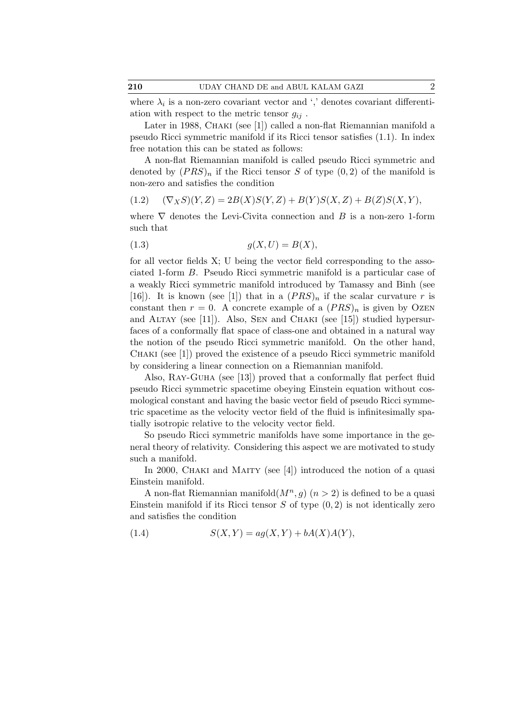where  $\lambda_i$  is a non-zero covariant vector and ',' denotes covariant differentiation with respect to the metric tensor  $g_{ij}$ .

Later in 1988, CHAKI (see [1]) called a non-flat Riemannian manifold a pseudo Ricci symmetric manifold if its Ricci tensor satisfies (1.1). In index free notation this can be stated as follows:

A non-flat Riemannian manifold is called pseudo Ricci symmetric and denoted by  $(PRS)_n$  if the Ricci tensor S of type  $(0, 2)$  of the manifold is non-zero and satisfies the condition

$$
(1.2) \quad (\nabla_X S)(Y, Z) = 2B(X)S(Y, Z) + B(Y)S(X, Z) + B(Z)S(X, Y),
$$

where  $\nabla$  denotes the Levi-Civita connection and B is a non-zero 1-form such that

$$
(1.3) \t\t g(X,U) = B(X),
$$

for all vector fields X; U being the vector field corresponding to the associated 1-form B. Pseudo Ricci symmetric manifold is a particular case of a weakly Ricci symmetric manifold introduced by Tamassy and Binh (see [16]). It is known (see [1]) that in a  $(PRS)<sub>n</sub>$  if the scalar curvature r is constant then  $r = 0$ . A concrete example of a  $(PRS)<sub>n</sub>$  is given by OzEN and ALTAY (see [11]). Also, SEN and CHAKI (see [15]) studied hypersurfaces of a conformally flat space of class-one and obtained in a natural way the notion of the pseudo Ricci symmetric manifold. On the other hand, Chaki (see [1]) proved the existence of a pseudo Ricci symmetric manifold by considering a linear connection on a Riemannian manifold.

Also, Ray-Guha (see [13]) proved that a conformally flat perfect fluid pseudo Ricci symmetric spacetime obeying Einstein equation without cosmological constant and having the basic vector field of pseudo Ricci symmetric spacetime as the velocity vector field of the fluid is infinitesimally spatially isotropic relative to the velocity vector field.

So pseudo Ricci symmetric manifolds have some importance in the general theory of relativity. Considering this aspect we are motivated to study such a manifold.

In 2000, CHAKI and MAITY (see [4]) introduced the notion of a quasi Einstein manifold.

A non-flat Riemannian manifold $(M^n, g)$   $(n > 2)$  is defined to be a quasi Einstein manifold if its Ricci tensor  $S$  of type  $(0, 2)$  is not identically zero and satisfies the condition

(1.4) 
$$
S(X,Y) = ag(X,Y) + bA(X)A(Y),
$$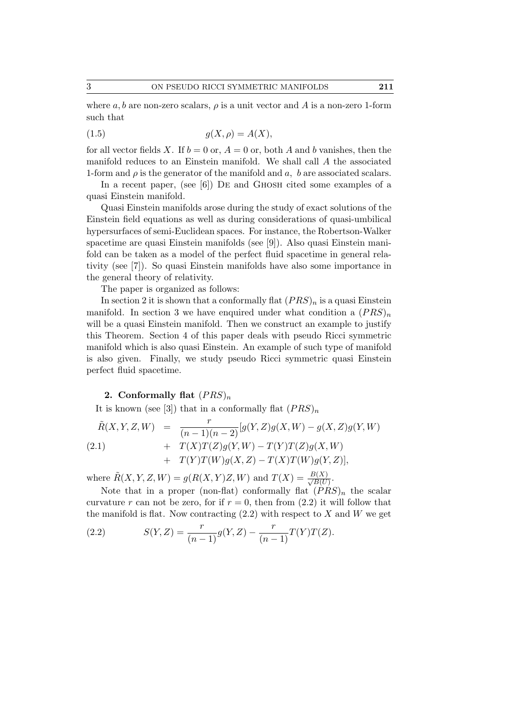where a, b are non-zero scalars,  $\rho$  is a unit vector and A is a non-zero 1-form such that

$$
(1.5) \t\t g(X, \rho) = A(X),
$$

for all vector fields X. If  $b = 0$  or,  $A = 0$  or, both A and b vanishes, then the manifold reduces to an Einstein manifold. We shall call A the associated 1-form and  $\rho$  is the generator of the manifold and a, b are associated scalars.

In a recent paper, (see [6]) DE and GHOSH cited some examples of a quasi Einstein manifold.

Quasi Einstein manifolds arose during the study of exact solutions of the Einstein field equations as well as during considerations of quasi-umbilical hypersurfaces of semi-Euclidean spaces. For instance, the Robertson-Walker spacetime are quasi Einstein manifolds (see [9]). Also quasi Einstein manifold can be taken as a model of the perfect fluid spacetime in general relativity (see [7]). So quasi Einstein manifolds have also some importance in the general theory of relativity.

The paper is organized as follows:

In section 2 it is shown that a conformally flat  $(PRS)_n$  is a quasi Einstein manifold. In section 3 we have enquired under what condition a  $(PRS)_n$ will be a quasi Einstein manifold. Then we construct an example to justify this Theorem. Section 4 of this paper deals with pseudo Ricci symmetric manifold which is also quasi Einstein. An example of such type of manifold is also given. Finally, we study pseudo Ricci symmetric quasi Einstein perfect fluid spacetime.

# 2. Conformally flat  $(PRS)_n$

It is known (see [3]) that in a conformally flat  $(PRS)_n$ 

$$
\tilde{R}(X, Y, Z, W) = \frac{r}{(n-1)(n-2)} [g(Y, Z)g(X, W) - g(X, Z)g(Y, W) \n+ T(X)T(Z)g(Y, W) - T(Y)T(Z)g(X, W) \n+ T(Y)T(W)g(X, Z) - T(X)T(W)g(Y, Z)],
$$

where  $\tilde{R}(X, Y, Z, W) = g(R(X, Y)Z, W)$  and  $T(X) = \frac{B(X)}{\sqrt{B(U)}}$ .

Note that in a proper (non-flat) conformally flat  $(PRS)<sub>n</sub>$  the scalar curvature r can not be zero, for if  $r = 0$ , then from  $(2.2)$  it will follow that the manifold is flat. Now contracting  $(2.2)$  with respect to X and W we get

(2.2) 
$$
S(Y, Z) = \frac{r}{(n-1)} g(Y, Z) - \frac{r}{(n-1)} T(Y) T(Z).
$$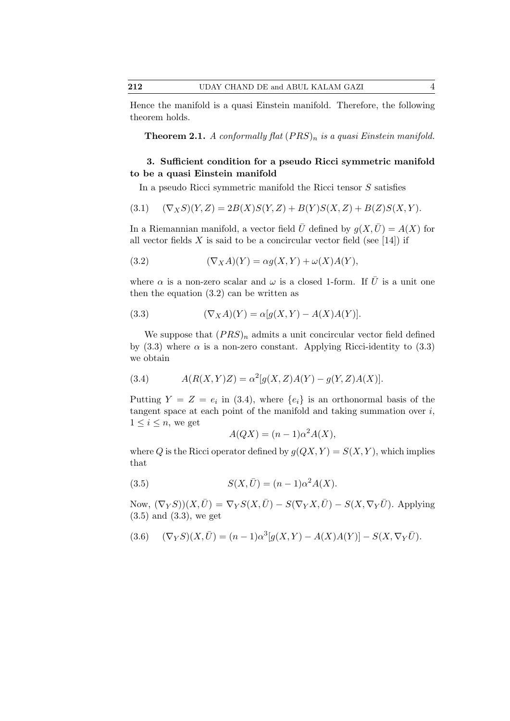Hence the manifold is a quasi Einstein manifold. Therefore, the following theorem holds.

**Theorem 2.1.** A conformally flat  $(PRS)_n$  is a quasi Einstein manifold.

# 3. Sufficient condition for a pseudo Ricci symmetric manifold to be a quasi Einstein manifold

In a pseudo Ricci symmetric manifold the Ricci tensor S satisfies

$$
(3.1) \quad (\nabla_X S)(Y,Z) = 2B(X)S(Y,Z) + B(Y)S(X,Z) + B(Z)S(X,Y).
$$

In a Riemannian manifold, a vector field  $\overline{U}$  defined by  $g(X,\overline{U}) = A(X)$  for all vector fields  $X$  is said to be a concircular vector field (see [14]) if

(3.2) 
$$
(\nabla_X A)(Y) = \alpha g(X, Y) + \omega(X)A(Y),
$$

where  $\alpha$  is a non-zero scalar and  $\omega$  is a closed 1-form. If  $\bar{U}$  is a unit one then the equation (3.2) can be written as

(3.3) 
$$
(\nabla_X A)(Y) = \alpha [g(X, Y) - A(X)A(Y)].
$$

We suppose that  $(PRS)<sub>n</sub>$  admits a unit concircular vector field defined by (3.3) where  $\alpha$  is a non-zero constant. Applying Ricci-identity to (3.3) we obtain

(3.4) 
$$
A(R(X,Y)Z) = \alpha^2[g(X,Z)A(Y) - g(Y,Z)A(X)].
$$

Putting  $Y = Z = e_i$  in (3.4), where  $\{e_i\}$  is an orthonormal basis of the tangent space at each point of the manifold and taking summation over  $i$ ,  $1 \leq i \leq n$ , we get

$$
A(QX) = (n-1)\alpha^2 A(X),
$$

where Q is the Ricci operator defined by  $g(QX, Y) = S(X, Y)$ , which implies that

(3.5) 
$$
S(X,\bar{U}) = (n-1)\alpha^2 A(X).
$$

Now,  $(\nabla_Y S)(X, \bar{U}) = \nabla_Y S(X, \bar{U}) - S(\nabla_Y X, \bar{U}) - S(X, \nabla_Y \bar{U})$ . Applying (3.5) and (3.3), we get

$$
(3.6) \quad (\nabla_Y S)(X,\bar{U}) = (n-1)\alpha^3[g(X,Y) - A(X)A(Y)] - S(X,\nabla_Y \bar{U}).
$$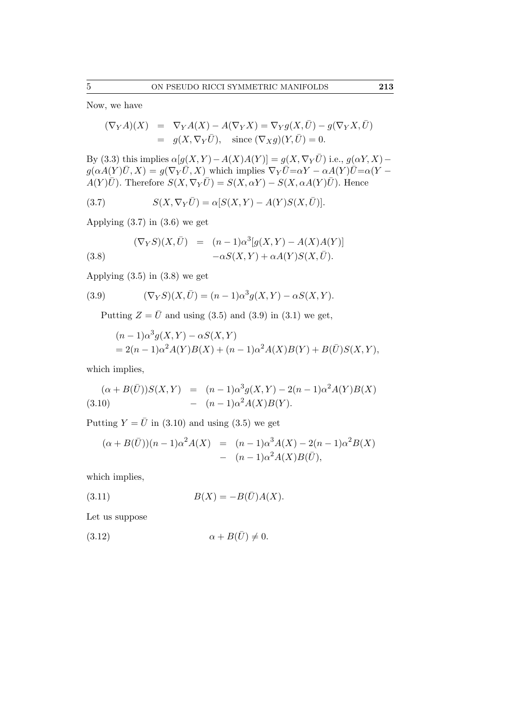Now, we have

$$
(\nabla_Y A)(X) = \nabla_Y A(X) - A(\nabla_Y X) = \nabla_Y g(X, \bar{U}) - g(\nabla_Y X, \bar{U})
$$
  
=  $g(X, \nabla_Y \bar{U})$ , since  $(\nabla_X g)(Y, \bar{U}) = 0$ .

By (3.3) this implies  $\alpha[g(X, Y) - A(X)A(Y)] = g(X, \nabla_Y \overline{U})$  i.e.,  $g(\alpha Y, X)$  $g(\alpha A(Y)\overline{U}, X) = g(\nabla_Y \overline{U}, X)$  which implies  $\nabla_Y \overline{U} = \alpha Y - \alpha A(Y)\overline{U} = \alpha(Y - \overline{U})$  $A(Y)\overline{U}$ . Therefore  $S(X,\nabla_Y\overline{U})=S(X,\alpha Y)-S(X,\alpha A(Y)\overline{U})$ . Hence

(3.7)  $S(X, \nabla_Y \bar{U}) = \alpha [S(X, Y) - A(Y)S(X, \bar{U})].$ 

Applying (3.7) in (3.6) we get

(3.8) 
$$
(\nabla_Y S)(X, \overline{U}) = (n-1)\alpha^3[g(X, Y) - A(X)A(Y)]
$$

$$
-\alpha S(X, Y) + \alpha A(Y)S(X, \overline{U}).
$$

Applying (3.5) in (3.8) we get

(3.9) 
$$
(\nabla_Y S)(X, \bar{U}) = (n-1)\alpha^3 g(X, Y) - \alpha S(X, Y).
$$

Putting  $Z = \bar{U}$  and using (3.5) and (3.9) in (3.1) we get,

$$
(n-1)\alpha^3 g(X,Y) - \alpha S(X,Y) = 2(n-1)\alpha^2 A(Y)B(X) + (n-1)\alpha^2 A(X)B(Y) + B(\bar{U})S(X,Y),
$$

which implies,

$$
(\alpha + B(\bar{U}))S(X,Y) = (n-1)\alpha^3 g(X,Y) - 2(n-1)\alpha^2 A(Y)B(X)
$$
  
(3.10) - 
$$
(n-1)\alpha^2 A(X)B(Y).
$$

Putting  $Y = \overline{U}$  in (3.10) and using (3.5) we get

$$
(\alpha + B(\bar{U}))(n-1)\alpha^2 A(X) = (n-1)\alpha^3 A(X) - 2(n-1)\alpha^2 B(X) - (n-1)\alpha^2 A(X)B(\bar{U}),
$$

which implies,

$$
(3.11) \t\t B(X) = -B(\bar{U})A(X).
$$

Let us suppose

$$
(3.12) \qquad \alpha + B(\bar{U}) \neq 0.
$$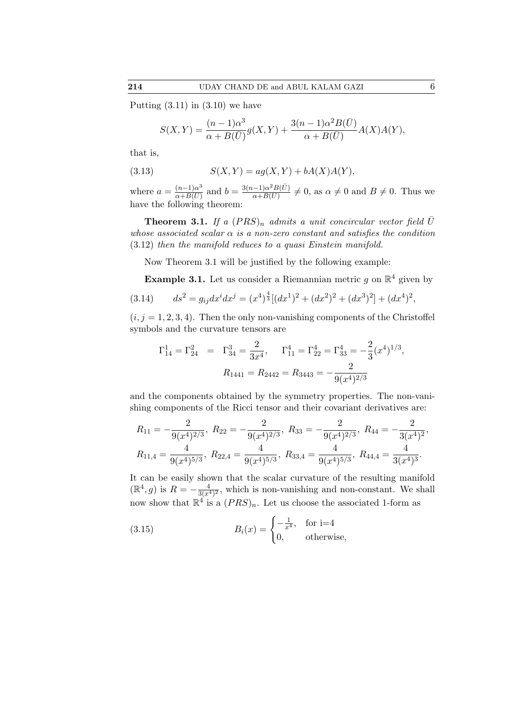Putting  $(3.11)$  in  $(3.10)$  we have

$$
S(X,Y)=\frac{(n-1)\alpha^3}{\alpha+B(\bar{U})}g(X,Y)+\frac{3(n-1)\alpha^2B(\bar{U})}{\alpha+B(\bar{U})}A(X)A(Y),
$$

that is,

(3.13) 
$$
S(X,Y) = ag(X,Y) + bA(X)A(Y),
$$

where  $a = \frac{(n-1)\alpha^3}{\alpha + B(\overline{U})}$  $\frac{(n-1)\alpha^3}{\alpha+B(\bar{U})}$  and  $b = \frac{3(n-1)\alpha^2B(\bar{U})}{\alpha+B(\bar{U})}$  $\frac{a-1}{\alpha+B(\bar{U})}\neq 0$ , as  $\alpha\neq 0$  and  $B\neq 0$ . Thus we have the following theorem:

**Theorem 3.1.** If a  $(PRS)_n$  admits a unit concircular vector field  $\overline{U}$ whose associated scalar  $\alpha$  is a non-zero constant and satisfies the condition (3.12) then the manifold reduces to a quasi Einstein manifold.

Now Theorem 3.1 will be justified by the following example:

**Example 3.1.** Let us consider a Riemannian metric g on  $\mathbb{R}^4$  given by

$$
(3.14) \t ds2 = gij dxi dxj = (x4)4/3 [(dx1)2 + (dx2)2 + (dx3)2] + (dx4)2,
$$

 $(i, j = 1, 2, 3, 4)$ . Then the only non-vanishing components of the Christoffel symbols and the curvature tensors are

$$
\Gamma_{14}^1 = \Gamma_{24}^2 = \Gamma_{34}^3 = \frac{2}{3x^4}, \quad \Gamma_{11}^4 = \Gamma_{22}^4 = \Gamma_{33}^4 = -\frac{2}{3}(x^4)^{1/3},
$$

$$
R_{1441} = R_{2442} = R_{3443} = -\frac{2}{9(x^4)^{2/3}}
$$

and the components obtained by the symmetry properties. The non-vanishing components of the Ricci tensor and their covariant derivatives are:

$$
R_{11} = -\frac{2}{9(x^4)^{2/3}}, \ R_{22} = -\frac{2}{9(x^4)^{2/3}}, \ R_{33} = -\frac{2}{9(x^4)^{2/3}}, \ R_{44} = -\frac{2}{3(x^4)^2},
$$
  

$$
R_{11,4} = \frac{4}{9(x^4)^{5/3}}, \ R_{22,4} = \frac{4}{9(x^4)^{5/3}}, \ R_{33,4} = \frac{4}{9(x^4)^{5/3}}, \ R_{44,4} = \frac{4}{3(x^4)^3}.
$$

It can be easily shown that the scalar curvature of the resulting manifold  $(\mathbb{R}^4, g)$  is  $R = -\frac{4}{3(x^4)^2}$ , which is non-vanishing and non-constant. We shall now show that  $\mathbb{R}^4$  is a  $(PRS)_n$ . Let us choose the associated 1-form as

(3.15) 
$$
B_i(x) = \begin{cases} -\frac{1}{x^4}, & \text{for } i=4\\ 0, & \text{otherwise,} \end{cases}
$$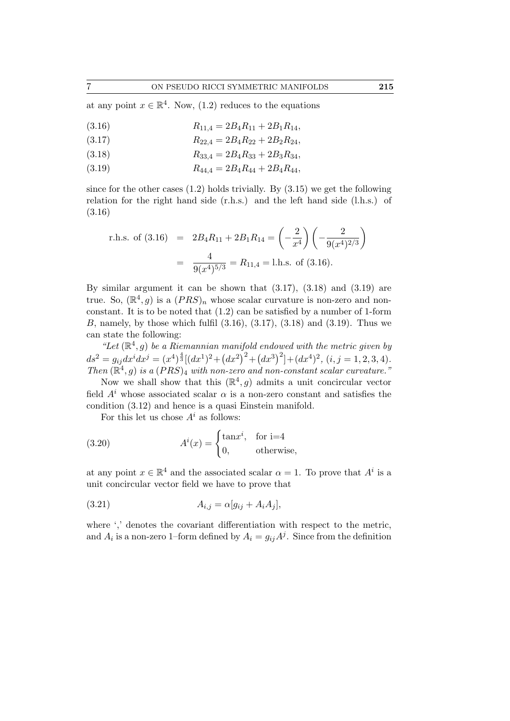at any point  $x \in \mathbb{R}^4$ . Now, (1.2) reduces to the equations

$$
(3.16) \t R_{11,4} = 2B_4 R_{11} + 2B_1 R_{14},
$$

(3.17) 
$$
R_{22,4} = 2B_4 R_{22} + 2B_2 R_{24},
$$

$$
(3.18) \t R_{33,4} = 2B_4 R_{33} + 2B_3 R_{34},
$$

(3.19)  $R_{44,4} = 2B_4 R_{44} + 2B_4 R_{44},$ 

since for the other cases  $(1.2)$  holds trivially. By  $(3.15)$  we get the following relation for the right hand side (r.h.s.) and the left hand side (l.h.s.) of (3.16)

r.h.s. of (3.16) = 
$$
2B_4R_{11} + 2B_1R_{14} = \left(-\frac{2}{x^4}\right)\left(-\frac{2}{9(x^4)^{2/3}}\right)
$$
  
=  $\frac{4}{9(x^4)^{5/3}} = R_{11,4} = 1$ h.s. of (3.16).

By similar argument it can be shown that  $(3.17)$ ,  $(3.18)$  and  $(3.19)$  are true. So,  $(\mathbb{R}^4, g)$  is a  $(PRS)_n$  whose scalar curvature is non-zero and nonconstant. It is to be noted that (1.2) can be satisfied by a number of 1-form B, namely, by those which fulfil  $(3.16)$ ,  $(3.17)$ ,  $(3.18)$  and  $(3.19)$ . Thus we can state the following:

"Let  $(\mathbb{R}^4, g)$  be a Riemannian manifold endowed with the metric given by  $ds^2 = g_{ij}dx^i dx^j = (x^4)^{\frac{4}{3}}[(dx^1)^2 + (dx^2)^2 + (dx^3)^2] + (dx^4)^2$ ,  $(i, j = 1, 2, 3, 4)$ . Then  $(\mathbb{R}^4, g)$  is a  $(PRS)_4$  with non-zero and non-constant scalar curvature."

Now we shall show that this  $(\mathbb{R}^4, g)$  admits a unit concircular vector field  $A<sup>i</sup>$  whose associated scalar  $\alpha$  is a non-zero constant and satisfies the condition (3.12) and hence is a quasi Einstein manifold.

For this let us chose  $A^i$  as follows:

(3.20) 
$$
A^{i}(x) = \begin{cases} \tan x^{i}, & \text{for } i=4\\ 0, & \text{otherwise,} \end{cases}
$$

at any point  $x \in \mathbb{R}^4$  and the associated scalar  $\alpha = 1$ . To prove that  $A^i$  is a unit concircular vector field we have to prove that

$$
(3.21) \t A_{i,j} = \alpha [g_{ij} + A_i A_j],
$$

where ',' denotes the covariant differentiation with respect to the metric, and  $A_i$  is a non-zero 1-form defined by  $A_i = g_{ij} A^j$ . Since from the definition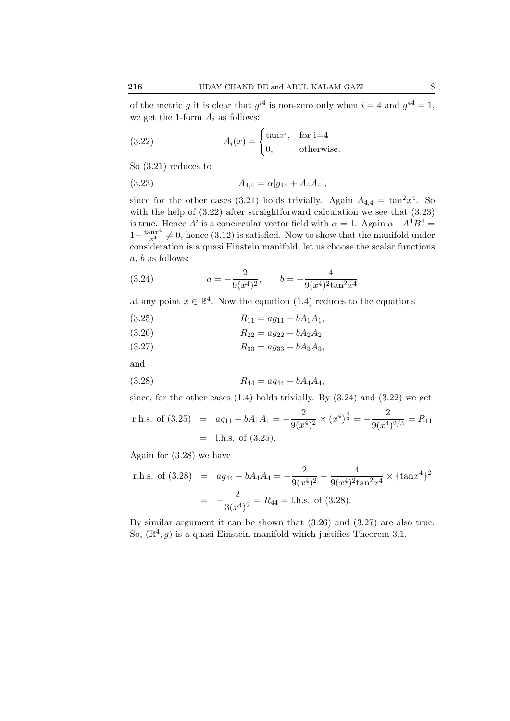of the metric g it is clear that  $g^{i4}$  is non-zero only when  $i = 4$  and  $g^{44} = 1$ , we get the 1-form  $A_i$  as follows:

(3.22) 
$$
A_i(x) = \begin{cases} \tan x^i, & \text{for } i=4\\ 0, & \text{otherwise.} \end{cases}
$$

So (3.21) reduces to

$$
(3.23) \t\t A_{4,4} = \alpha [g_{44} + A_4 A_4],
$$

since for the other cases (3.21) holds trivially. Again  $A_{4,4} = \tan^2 x^4$ . So with the help of  $(3.22)$  after straightforward calculation we see that  $(3.23)$ is true. Hence  $A^i$  is a concircular vector field with  $\alpha = 1$ . Again  $\alpha + A^4 B^4 =$  $1-\frac{\tan x^4}{x^4} \neq 0$ , hence (3.12) is satisfied. Now to show that the manifold under consideration is a quasi Einstein manifold, let us choose the scalar functions  $\boldsymbol{a},$   $\boldsymbol{b}$  as follows:

(3.24) 
$$
a = -\frac{2}{9(x^4)^2}, \qquad b = -\frac{4}{9(x^4)^2 \tan^2 x^4}
$$

at any point  $x \in \mathbb{R}^4$ . Now the equation (1.4) reduces to the equations

$$
(3.25) \t\t R_{11} = ag_{11} + bA_1A_1,
$$

$$
(3.26) \t\t R_{22} = ag_{22} + bA_2A_2
$$

$$
(3.27) \t\t R_{33} = ag_{33} + bA_3A_3,
$$

and

$$
(3.28) \t\t R_{44} = a g_{44} + b A_4 A_4,
$$

since, for the other cases  $(1.4)$  holds trivially. By  $(3.24)$  and  $(3.22)$  we get r.h.s. of (3.25) =  $ag_{11} + bA_1A_1 = -\frac{2}{\Omega}$  $\frac{2}{9(x^4)^2} \times (x^4)^{\frac{4}{3}} = -\frac{2}{9(x^4)}$  $\frac{2}{9(x^4)^{2/3}} = R_{11}$  $=$  l.h.s. of  $(3.25)$ .

Again for (3.28) we have

r.h.s. of (3.28) = 
$$
ag_{44} + bA_4A_4 = -\frac{2}{9(x^4)^2} - \frac{4}{9(x^4)^2 \tan^2 x^4} \times {\tan x^4}^2
$$
  
=  $-\frac{2}{3(x^4)^2} = R_{44} =$  l.h.s. of (3.28).

By similar argument it can be shown that (3.26) and (3.27) are also true. So,  $(\mathbb{R}^4, g)$  is a quasi Einstein manifold which justifies Theorem 3.1.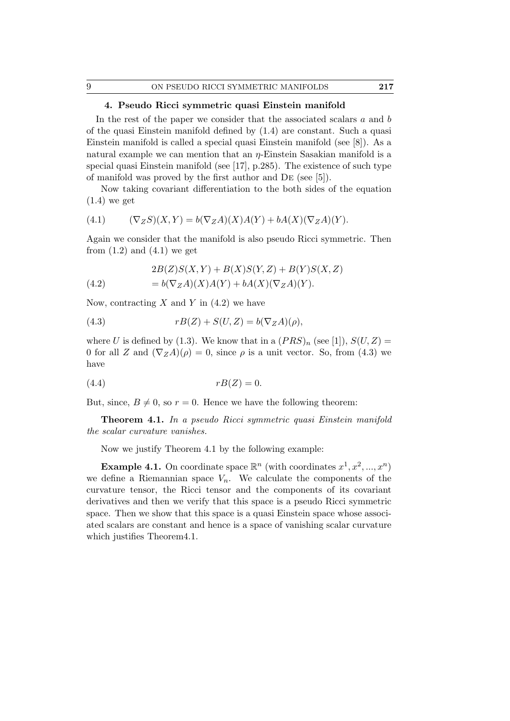# 4. Pseudo Ricci symmetric quasi Einstein manifold

In the rest of the paper we consider that the associated scalars a and b of the quasi Einstein manifold defined by (1.4) are constant. Such a quasi Einstein manifold is called a special quasi Einstein manifold (see [8]). As a natural example we can mention that an  $\eta$ -Einstein Sasakian manifold is a special quasi Einstein manifold (see [17], p.285). The existence of such type of manifold was proved by the first author and De (see [5]).

Now taking covariant differentiation to the both sides of the equation  $(1.4)$  we get

$$
(4.1) \qquad (\nabla_Z S)(X,Y) = b(\nabla_Z A)(X)A(Y) + bA(X)(\nabla_Z A)(Y).
$$

Again we consider that the manifold is also pseudo Ricci symmetric. Then from  $(1.2)$  and  $(4.1)$  we get

(4.2) 
$$
2B(Z)S(X,Y) + B(X)S(Y,Z) + B(Y)S(X,Z)
$$

$$
= b(\nabla_Z A)(X)A(Y) + bA(X)(\nabla_Z A)(Y).
$$

Now, contracting X and Y in  $(4.2)$  we have

(4.3) 
$$
rB(Z) + S(U, Z) = b(\nabla_Z A)(\rho),
$$

where U is defined by (1.3). We know that in a  $(PRS)_n$  (see [1]),  $S(U, Z)$  = 0 for all Z and  $(\nabla_Z A)(\rho) = 0$ , since  $\rho$  is a unit vector. So, from (4.3) we have

$$
(4.4) \t\t rB(Z) = 0.
$$

But, since,  $B \neq 0$ , so  $r = 0$ . Hence we have the following theorem:

Theorem 4.1. In a pseudo Ricci symmetric quasi Einstein manifold the scalar curvature vanishes.

Now we justify Theorem 4.1 by the following example:

**Example 4.1.** On coordinate space  $\mathbb{R}^n$  (with coordinates  $x^1, x^2, ..., x^n$ ) we define a Riemannian space  $V_n$ . We calculate the components of the curvature tensor, the Ricci tensor and the components of its covariant derivatives and then we verify that this space is a pseudo Ricci symmetric space. Then we show that this space is a quasi Einstein space whose associated scalars are constant and hence is a space of vanishing scalar curvature which justifies Theorem 4.1.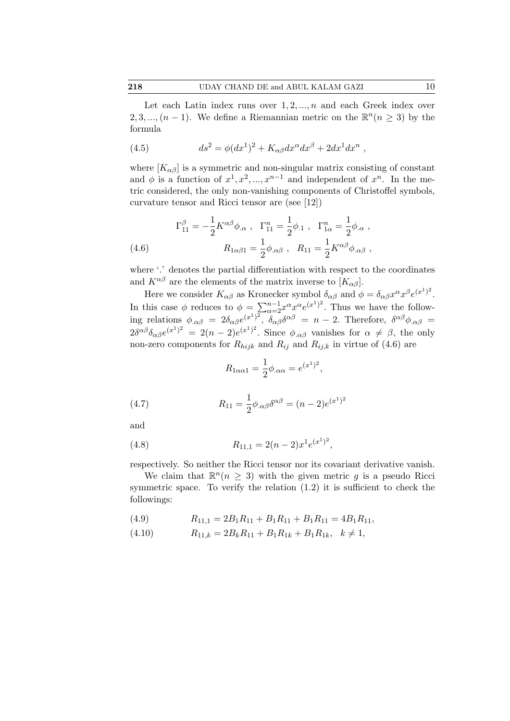Let each Latin index runs over  $1, 2, ..., n$  and each Greek index over 2, 3, ...,  $(n-1)$ . We define a Riemannian metric on the  $\mathbb{R}^n (n \geq 3)$  by the formula

(4.5) 
$$
ds^2 = \phi(dx^1)^2 + K_{\alpha\beta}dx^{\alpha}dx^{\beta} + 2dx^1dx^n,
$$

where  $[K_{\alpha\beta}]$  is a symmetric and non-singular matrix consisting of constant and  $\phi$  is a function of  $x^1, x^2, ..., x^{n-1}$  and independent of  $x^n$ . In the metric considered, the only non-vanishing components of Christoffel symbols, curvature tensor and Ricci tensor are (see [12])

(4.6) 
$$
\Gamma_{11}^{\beta} = -\frac{1}{2} K^{\alpha \beta} \phi_{.\alpha} , \ \Gamma_{11}^{n} = \frac{1}{2} \phi_{.1} , \ \Gamma_{1\alpha}^{n} = \frac{1}{2} \phi_{.\alpha} ,
$$

$$
R_{1\alpha\beta 1} = \frac{1}{2} \phi_{.\alpha\beta} , \ R_{11} = \frac{1}{2} K^{\alpha\beta} \phi_{.\alpha\beta} ,
$$

where '.' denotes the partial differentiation with respect to the coordinates and  $K^{\alpha\beta}$  are the elements of the matrix inverse to  $[K_{\alpha\beta}]$ .

Here we consider  $K_{\alpha\beta}$  as Kronecker symbol  $\delta_{\alpha\beta}$  and  $\phi = \delta_{\alpha\beta} x^{\alpha} x^{\beta} e^{(x^1)^2}$ . In this case  $\phi$  reduces to  $\phi = \sum_{\alpha=2}^{n-1} x^{\alpha} x^{\alpha} e^{(x^1)^2}$ . Thus we have the following relations  $\phi_{,\alpha\beta} = 2\delta_{\alpha\beta}e^{(x^1)^2}, \ \delta_{\alpha\beta}\delta^{\alpha\beta} = n-2$ . Therefore,  $\delta^{\alpha\beta}\phi_{,\alpha\beta} =$  $2\delta^{\alpha\beta}\delta_{\alpha\beta}e^{(x^1)^2} = 2(n-2)e^{(x^1)^2}$ . Since  $\phi_{,\alpha\beta}$  vanishes for  $\alpha \neq \beta$ , the only non-zero components for  $R_{hijk}$  and  $R_{ij}$  and  $R_{ijk}$  in virtue of (4.6) are

$$
R_{1\alpha\alpha 1} = \frac{1}{2}\phi_{\alpha\alpha} = e^{(x^1)^2},
$$

(4.7) 
$$
R_{11} = \frac{1}{2} \phi_{.\alpha\beta} \delta^{\alpha\beta} = (n-2)e^{(x^1)^2}
$$

and

(4.8) 
$$
R_{11,1} = 2(n-2)x^{1}e^{(x^{1})^{2}},
$$

respectively. So neither the Ricci tensor nor its covariant derivative vanish.

We claim that  $\mathbb{R}^n(n \geq 3)$  with the given metric g is a pseudo Ricci symmetric space. To verify the relation  $(1.2)$  it is sufficient to check the followings:

(4.9) 
$$
R_{11,1} = 2B_1R_{11} + B_1R_{11} + B_1R_{11} = 4B_1R_{11},
$$

$$
(4.10) \t R_{11,k} = 2B_k R_{11} + B_1 R_{1k} + B_1 R_{1k}, \quad k \neq 1,
$$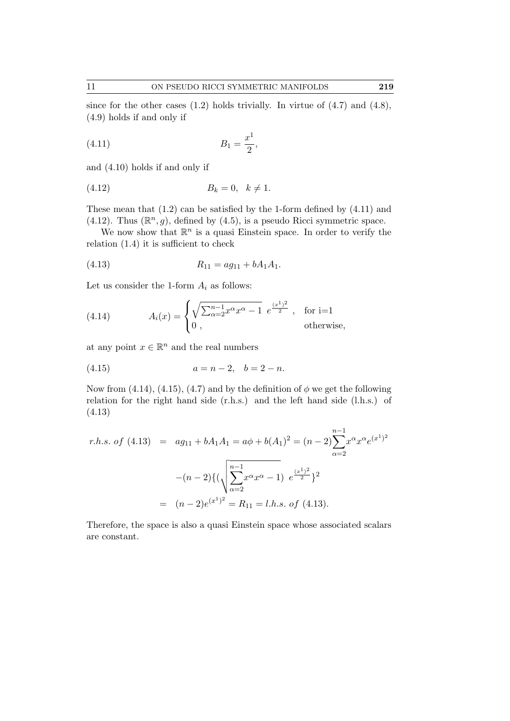since for the other cases  $(1.2)$  holds trivially. In virtue of  $(4.7)$  and  $(4.8)$ , (4.9) holds if and only if

$$
(4.11) \t B_1 = \frac{x^1}{2},
$$

and (4.10) holds if and only if

$$
(4.12) \t\t B_k = 0, \quad k \neq 1.
$$

These mean that (1.2) can be satisfied by the 1-form defined by (4.11) and (4.12). Thus  $(\mathbb{R}^n, g)$ , defined by (4.5), is a pseudo Ricci symmetric space.

We now show that  $\mathbb{R}^n$  is a quasi Einstein space. In order to verify the relation (1.4) it is sufficient to check

$$
(4.13) \t R_{11} = a g_{11} + b A_1 A_1.
$$

Let us consider the 1-form  $A_i$  as follows:

(4.14) 
$$
A_i(x) = \begin{cases} \sqrt{\sum_{\alpha=2}^{n-1} x^{\alpha} x^{\alpha} - 1} \ e^{\frac{(x^1)^2}{2}}, & \text{for } i=1\\ 0, & \text{otherwise,} \end{cases}
$$

at any point  $x \in \mathbb{R}^n$  and the real numbers

$$
(4.15) \t\t a = n - 2, \t b = 2 - n.
$$

Now from (4.14), (4.15), (4.7) and by the definition of  $\phi$  we get the following relation for the right hand side (r.h.s.) and the left hand side (l.h.s.) of (4.13)

$$
r.h.s. \text{ of } (4.13) = a g_{11} + b A_1 A_1 = a \phi + b(A_1)^2 = (n-2) \sum_{\alpha=2}^{n-1} x^{\alpha} x^{\alpha} e^{(x^1)^2}
$$

$$
-(n-2) \{ (\sqrt{\sum_{\alpha=2}^{n-1} x^{\alpha} x^{\alpha} - 1} ) e^{\frac{(x^1)^2}{2}} \}^2
$$

$$
= (n-2) e^{(x^1)^2} = R_{11} = l.h.s. \text{ of } (4.13).
$$

Therefore, the space is also a quasi Einstein space whose associated scalars are constant.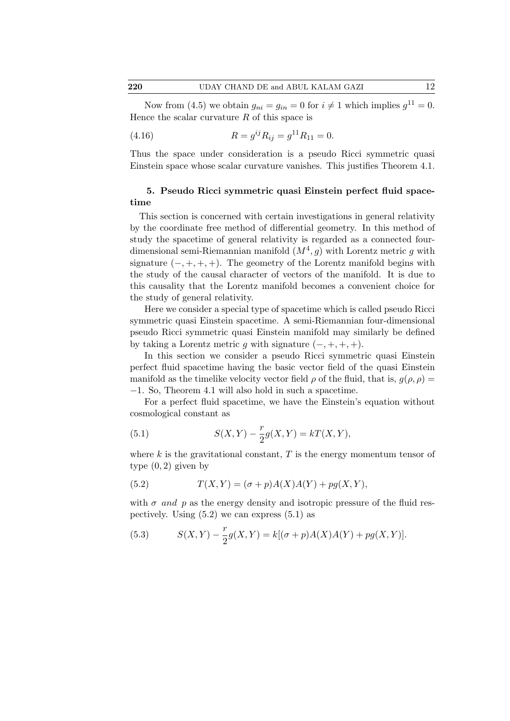Now from (4.5) we obtain  $g_{ni} = g_{in} = 0$  for  $i \neq 1$  which implies  $g^{11} = 0$ . Hence the scalar curvature  $R$  of this space is

(4.16) 
$$
R = g^{ij} R_{ij} = g^{11} R_{11} = 0.
$$

Thus the space under consideration is a pseudo Ricci symmetric quasi Einstein space whose scalar curvature vanishes. This justifies Theorem 4.1.

# 5. Pseudo Ricci symmetric quasi Einstein perfect fluid spacetime

This section is concerned with certain investigations in general relativity by the coordinate free method of differential geometry. In this method of study the spacetime of general relativity is regarded as a connected fourdimensional semi-Riemannian manifold  $(M^4, g)$  with Lorentz metric g with signature  $(-, +, +, +)$ . The geometry of the Lorentz manifold begins with the study of the causal character of vectors of the manifold. It is due to this causality that the Lorentz manifold becomes a convenient choice for the study of general relativity.

Here we consider a special type of spacetime which is called pseudo Ricci symmetric quasi Einstein spacetime. A semi-Riemannian four-dimensional pseudo Ricci symmetric quasi Einstein manifold may similarly be defined by taking a Lorentz metric g with signature  $(-, +, +, +)$ .

In this section we consider a pseudo Ricci symmetric quasi Einstein perfect fluid spacetime having the basic vector field of the quasi Einstein manifold as the timelike velocity vector field  $\rho$  of the fluid, that is,  $g(\rho, \rho) =$ −1. So, Theorem 4.1 will also hold in such a spacetime.

For a perfect fluid spacetime, we have the Einstein's equation without cosmological constant as

(5.1) 
$$
S(X,Y) - \frac{r}{2}g(X,Y) = kT(X,Y),
$$

where  $k$  is the gravitational constant,  $T$  is the energy momentum tensor of type  $(0, 2)$  given by

(5.2) 
$$
T(X,Y) = (\sigma + p)A(X)A(Y) + pg(X,Y),
$$

with  $\sigma$  and  $p$  as the energy density and isotropic pressure of the fluid respectively. Using  $(5.2)$  we can express  $(5.1)$  as

(5.3) 
$$
S(X,Y) - \frac{r}{2}g(X,Y) = k[(\sigma + p)A(X)A(Y) + pg(X,Y)].
$$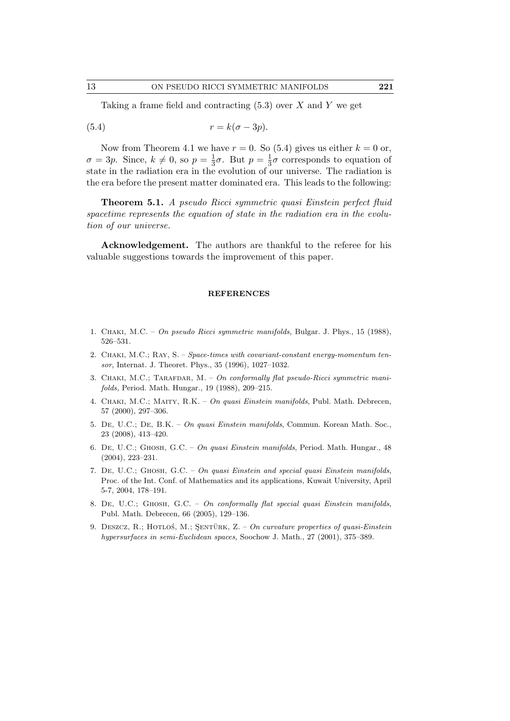Taking a frame field and contracting  $(5.3)$  over X and Y we get

$$
(5.4) \t\t\t r = k(\sigma - 3p).
$$

Now from Theorem 4.1 we have  $r = 0$ . So (5.4) gives us either  $k = 0$  or,  $\sigma = 3p$ . Since,  $k \neq 0$ , so  $p = \frac{1}{3}$  $\frac{1}{3}\sigma$ . But  $p=\frac{1}{3}$  $\frac{1}{3}\sigma$  corresponds to equation of state in the radiation era in the evolution of our universe. The radiation is the era before the present matter dominated era. This leads to the following:

Theorem 5.1. A pseudo Ricci symmetric quasi Einstein perfect fluid spacetime represents the equation of state in the radiation era in the evolution of our universe.

Acknowledgement. The authors are thankful to the referee for his valuable suggestions towards the improvement of this paper.

#### **REFERENCES**

- 1. Chaki, M.C. *On pseudo Ricci symmetric manifolds,* Bulgar. J. Phys., 15 (1988), 526–531.
- 2. Chaki, M.C.; Ray, S. *Space-times with covariant-constant energy-momentum tensor,* Internat. J. Theoret. Phys., 35 (1996), 1027–1032.
- 3. CHAKI, M.C.; TARAFDAR, M. On conformally flat pseudo-Ricci symmetric mani*folds,* Period. Math. Hungar., 19 (1988), 209–215.
- 4. Chaki, M.C.; Maity, R.K. *On quasi Einstein manifolds*, Publ. Math. Debrecen, 57 (2000), 297–306.
- 5. De, U.C.; De, B.K. *On quasi Einstein manifolds*, Commun. Korean Math. Soc., 23 (2008), 413–420.
- 6. De, U.C.; Ghosh, G.C. *On quasi Einstein manifolds*, Period. Math. Hungar., 48 (2004), 223–231.
- 7. De, U.C.; Ghosh, G.C. *On quasi Einstein and special quasi Einstein manifolds*, Proc. of the Int. Conf. of Mathematics and its applications, Kuwait University, April 5-7, 2004, 178–191.
- 8. De, U.C.; Ghosh, G.C. *On conformally flat special quasi Einstein manifolds*, Publ. Math. Debrecen, 66 (2005), 129–136.
- 9. DESZCZ, R.; HOTLOŚ, M.; ŞENTÜRK, Z. *On curvature properties of quasi-Einstein hypersurfaces in semi-Euclidean spaces,* Soochow J. Math., 27 (2001), 375–389.